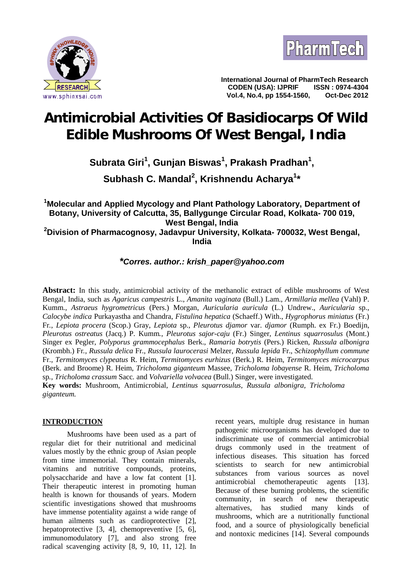



**International Journal of PharmTech Research CODEN (USA): IJPRIF ISSN : 0974-4304 Vol.4, No.4, pp 1554-1560, Oct-Dec 2012**

# **Antimicrobial Activities Of Basidiocarps Of Wild Edible Mushrooms Of West Bengal, India**

# **Subrata Giri<sup>1</sup> , Gunjan Biswas<sup>1</sup> , Prakash Pradhan<sup>1</sup> ,**

**Subhash C. Mandal<sup>2</sup> , Krishnendu Acharya<sup>1</sup>\***

## **<sup>1</sup>Molecular and Applied Mycology and Plant Pathology Laboratory, Department of Botany, University of Calcutta, 35, Ballygunge Circular Road, Kolkata- 700 019, West Bengal, India <sup>2</sup>Division of Pharmacognosy, Jadavpur University, Kolkata- 700032, West Bengal,**

**India**

*\*Corres. author.: krish\_paper@yahoo.com*

**Abstract:** In this study, antimicrobial activity of the methanolic extract of edible mushrooms of West Bengal, India, such as *Agaricus campestris* L., *Amanita vaginata* (Bull.) Lam., *Armillaria mellea* (Vahl) P. Kumm., *Astraeus hygrometricus* (Pers.) Morgan, *Auricularia auricula* (L.) Undrew., *Auricularia* sp., *Calocybe indica* Purkayastha and Chandra, *Fistulina hepatica* (Schaeff.) With., *Hygrophorus miniatus* (Fr.) Fr*.*, *Lepiota procera* (Scop.) Gray, *Lepiota* sp., *Pleurotus djamor* var. *djamor* (Rumph. ex Fr.) Boedijn, *Pleurotus ostreatus* (Jacq.) P. Kumm*.*, *Pleurotus sajor-caju* (Fr.) Singer, *Lentinus squarrosulus* (Mont.) Singer ex Pegler, *Polyporus grammocephalus* Berk., *Ramaria botrytis* (Pers.) Ricken, *Russula albonigra* (Krombh.) Fr*.*, *Russula delica* Fr., *Russula laurocerasi* Melzer, *Russula lepida* Fr., *Schizophyllum commune* Fr., *Termitomyces clypeatus* R. Heim, *Termitomyces eurhizus* (Berk.) R. Heim, *Termitomyces microcarpus* (Berk. and Broome) R. Heim, *Tricholoma giganteum* Massee, *Tricholoma lobayense* R. Heim, *Tricholoma* sp*.*, *Tricholoma crassum* Sacc*.* and *Volvariella volvacea* (Bull.) Singer, were investigated.

**Key words:** Mushroom, Antimicrobial, *Lentinus squarrosulus, Russula albonigra, Tricholoma giganteum.*

### **INTRODUCTION**

Mushrooms have been used as a part of regular diet for their nutritional and medicinal values mostly by the ethnic group of Asian people from time immemorial. They contain minerals, vitamins and nutritive compounds, proteins, polysaccharide and have a low fat content [1]. Their therapeutic interest in promoting human health is known for thousands of years. Modern scientific investigations showed that mushrooms have immense potentiality against a wide range of human ailments such as cardioprotective [2], hepatoprotective [3, 4], chemopreventive [5, 6], immunomodulatory [7], and also strong free radical scavenging activity [8, 9, 10, 11, 12]. In recent years, multiple drug resistance in human pathogenic microorganisms has developed due to indiscriminate use of commercial antimicrobial drugs commonly used in the treatment of infectious diseases. This situation has forced scientists to search for new antimicrobial substances from various sources as novel antimicrobial chemotherapeutic agents [13]. Because of these burning problems, the scientific community, in search of new therapeutic alternatives, has studied many kinds of mushrooms, which are a nutritionally functional food, and a source of physiologically beneficial and nontoxic medicines [14]. Several compounds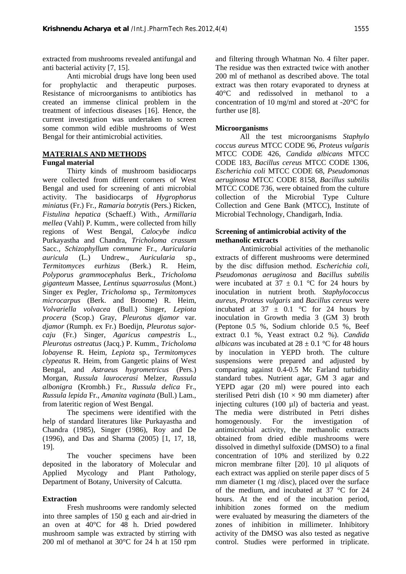extracted from mushrooms revealed antifungal and anti bacterial activity [7, 15].

Anti microbial drugs have long been used for prophylactic and therapeutic purposes. Resistance of microorganisms to antibiotics has created an immense clinical problem in the treatment of infectious diseases [16]. Hence, the current investigation was undertaken to screen some common wild edible mushrooms of West Bengal for their antimicrobial activities.

#### **MATERIALS AND METHODS**

#### **Fungal material**

Thirty kinds of mushroom basidiocarps were collected from different corners of West Bengal and used for screening of anti microbial activity. The basidiocarps of *Hygrophorus miniatus* (Fr.) Fr*., Ramaria botrytis* (Pers.) Ricken*, Fistulina hepatica* (Schaeff.) With., *Armillaria mellea* (Vahl) P. Kumm., were collected from hilly regions of West Bengal, *Calocybe indica* Purkayastha and Chandra*, Tricholoma crassum* Sacc*., Schizophyllum commune* Fr.*, Auricularia auricula* (L.) Undrew.*, Auricularia* sp., *Termitomyces eurhizus* (Berk.) R. Heim*, Polyporus grammocephalus* Berk.*, Tricholoma giganteum* Massee*, Lentinus squarrosulus* (Mont.) Singer ex Pegler*, Tricholoma* sp*.*, *Termitomyces microcarpus* (Berk. and Broome) R. Heim, *Volvariella volvacea* (Bull.) Singer, *Lepiota procera* (Scop.) Gray, *Pleurotus djamor* var. *djamor* (Rumph. ex Fr.) Boedijn, *Pleurotus sajor caju* (Fr.) Singer, *Agaricus campestris* L.*, Pleurotus ostreatus* (Jacq.) P. Kumm*.*, *Tricholoma lobayense* R. Heim, *Lepiota* sp., *Termitomyces clypeatus* R. Heim, from Gangetic plains of West Bengal, and *Astraeus hygrometricus* (Pers.) Morgan, *Russula laurocerasi* Melzer, *Russula albonigra* (Krombh.) Fr*.*, *Russula delica* Fr., *Russula lepida* Fr., *Amanita vaginata* (Bull.) Lam., from lateritic region of West Bengal.

The specimens were identified with the help of standard literatures like Purkayastha and Chandra (1985), Singer (1986), Roy and De (1996), and Das and Sharma (2005) [1, 17, 18, 19].

The voucher specimens have been deposited in the laboratory of Molecular and Applied Mycology and Plant Pathology, Department of Botany, University of Calcutta.

#### **Extraction**

Fresh mushrooms were randomly selected into three samples of 150 g each and air-dried in an oven at 40°C for 48 h. Dried powdered mushroom sample was extracted by stirring with 200 ml of methanol at 30°C for 24 h at 150 rpm and filtering through Whatman No. 4 filter paper. The residue was then extracted twice with another 200 ml of methanol as described above. The total extract was then rotary evaporated to dryness at 40°C and redissolved in methanol to a concentration of 10 mg/ml and stored at -20°C for further use [8].

#### **Microorganisms**

All the test microorganisms *Staphylo coccus aureus* MTCC CODE 96*, Proteus vulgaris* MTCC CODE 426, *Candida albicans* MTCC CODE 183, *Bacillus cereus* MTCC CODE 1306, *Escherichia coli* MTCC CODE 68, *Pseudomonas aeruginosa* MTCC CODE 8158, *Bacillus subtilis* MTCC CODE 736*,* were obtained from the culture collection of the Microbial Type Culture Collection and Gene Bank (MTCC), Institute of Microbial Technology, Chandigarh, India.

#### **Screening of antimicrobial activity of the methanolic extracts**

Antimicrobial activities of the methanolic extracts of different mushrooms were determined by the disc diffusion method. *Escherichia coli, Pseudomonas aeruginosa* and *Bacillus subtilis* were incubated at  $37 \pm 0.1$  °C for 24 hours by inoculation in nutrient broth. *Staphylococcus aureus, Proteus vulgaris* and *Bacillus cereus* were incubated at  $37 \pm 0.1$  °C for 24 hours by inoculation in Growth media 3 (GM 3) broth (Peptone 0.5 %, Sodium chloride 0.5 %, Beef extract 0.1 %, Yeast extract 0.2 %). *Candida albicans* was incubated at  $28 \pm 0.1$  °C for 48 hours by inoculation in YEPD broth. The culture suspensions were prepared and adjusted by comparing against 0.4-0.5 Mc Farland turbidity standard tubes. Nutrient agar, GM 3 agar and YEPD agar (20 ml) were poured into each sterilised Petri dish ( $10 \times 90$  mm diameter) after injecting cultures (100 µl) of bacteria and yeast. The media were distributed in Petri dishes homogenously. For the investigation of antimicrobial activity, the methanolic extracts obtained from dried edible mushrooms were dissolved in dimethyl sulfoxide (DMSO) to a final concentration of 10% and sterilized by 0.22 micron membrane filter [20]. 10 µl aliquots of each extract was applied on sterile paper discs of 5 mm diameter (1 mg/disc), placed over the surface of the medium, and incubated at 37 °C for 24 hours. At the end of the incubation period, inhibition zones formed on the medium were evaluated by measuring the diameters of the zones of inhibition in millimeter. Inhibitory activity of the DMSO was also tested as negative control. Studies were performed in triplicate.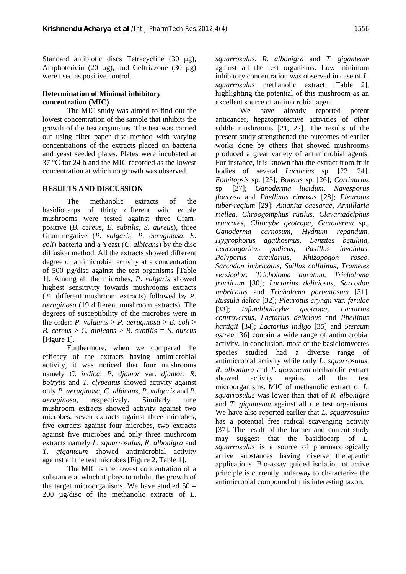Standard antibiotic discs Tetracycline (30 µg), Amphotericin (20 µg), and Ceftriazone (30 µg) were used as positive control.

#### **Determination of Minimal inhibitory concentration (MIC)**

The MIC study was aimed to find out the lowest concentration of the sample that inhibits the growth of the test organisms. The test was carried out using filter paper disc method with varying concentrations of the extracts placed on bacteria and yeast seeded plates. Plates were incubated at 37 °C for 24 h and the MIC recorded as the lowest concentration at which no growth was observed.

#### **RESULTS AND DISCUSSION**

The methanolic extracts of the basidiocarps of thirty different wild edible mushrooms were tested against three Gram positive (*B*. *cereus*, *B*. *subtilis*, *S*. *aureus*), three Gram-negative (*P*. *vulgaris*, *P*. *aeruginosa*, *E*. *coli*) bacteria and a Yeast (*C*. *albicans*) by the disc diffusion method. All the extracts showed different degree of antimicrobial activity at a concentration of 500 µg/disc against the test organisms [Table 1]. Among all the microbes, *P*. *vulgaris* showed highest sensitivity towards mushrooms extracts (21 different mushroom extracts) followed by *P*. *aeruginosa* (19 different mushroom extracts). The degrees of susceptibility of the microbes were in the order: *P. vulgaris* > *P. aeruginosa* > *E. coli* > *B. cereus* > *C. albicans* > *B*. *subtilis = S*. *aureus* [Figure 1].

Furthermore, when we compared the efficacy of the extracts having antimicrobial activity, it was noticed that four mushrooms namely *C*. *indica*, *P*. *djamor* var. *djamor*, *R*. *botrytis* and *T*. *clypeatus* showed activity against only *P. aeruginosa*, *C*. *albicans*, *P*. *vulgaris* and *P*. *aeruginosa*, respectively. Similarly nine mushroom extracts showed activity against two microbes, seven extracts against three microbes, five extracts against four microbes, two extracts against five microbes and only three mushroom extracts namely *L*. *squarrosulus*, *R*. *albonigra* and *T*. *giganteum* showed antimicrobial activity against all the test microbes [Figure 2, Table 1].

The MIC is the lowest concentration of a substance at which it plays to inhibit the growth of the target microorganisms. We have studied 50 – 200 µg/disc of the methanolic extracts of *L*.

*squarrosulus*, *R. albonigra* and *T*. *giganteum* against all the test organisms. Low minimum inhibitory concentration was observed in case of *L*. *squarrosulus* methanolic extract [Table 2], highlighting the potential of this mushroom as an excellent source of antimicrobial agent.

We have already reported potent anticancer, hepatoprotective activities of other edible mushrooms [21, 22]. The results of the present study strengthened the outcomes of earlier works done by others that showed mushrooms produced a great variety of antimicrobial agents. For instance, it is known that the extract from fruit bodies of several *Lactarius* sp. [23, 24]; *Fomitopsis* sp. [25]; *Boletus* sp. [26]; *Cortinarius* sp. [27]; *Ganoderma lucidum*, *Navesporus floccosa* and *Phellinus rimosus* [28]; *Pleurotus tuber*-*regium* [29]; *Amanita caesarae*, *Armillaria mellea*, *Chroogomphus rutilus*, *Clavariadelphus truncates*, *Clitocybe geotropa*, *Ganoderma* sp., *Ganoderma carnosum*, *Hydnum repandum*, *Hygrophorus agathosmus*, *Lenzites betulina*, *Leucoagaricus pudicus*, *Paxillus involutus*, *Polyporus arcularius*, *Rhizopogon roseo*, *Sarcodon imbricatus*, *Suillus collitinus*, *Trametes versicolor*, *Tricholoma auratum*, *Tricholoma fracticum* [30]; *Lactarius deliciosus*, *Sarcodon imbricatus* and *Tricholoma portentosum* [31]; *Russula delica* [32]; *Pleurotus eryngii* var. *ferulae* [33]; *Infundibulicybe geotropa*, *Lactarius controversus*, *Lactarius delicious* and *Phellinus hartigii* [34]; *Lactarius indigo* [35] and *Stereum ostrea* [36] contain a wide range of antimicrobial activity. In conclusion, most of the basidiomycetes species studied had a diverse range of antimicrobial activity while only *L*. *squarrosulus*, *R*. *albonigra* and *T*. *giganteum* methanolic extract showed activity against all the test microorganisms. MIC of methanolic extract of *L*. *squarrosulus* was lower than that of *R*. *albonigra* and *T*. *giganteum* against all the test organisms. We have also reported earlier that *L*. *squarrosulus* has a potential free radical scavenging activity [37]. The result of the former and current study may suggest that the basidiocarp of *L. squarrosulus* is a source of pharmacologically active substances having diverse therapeutic applications. Bio-assay guided isolation of active principle is currently underway to characterize the antimicrobial compound of this interesting taxon.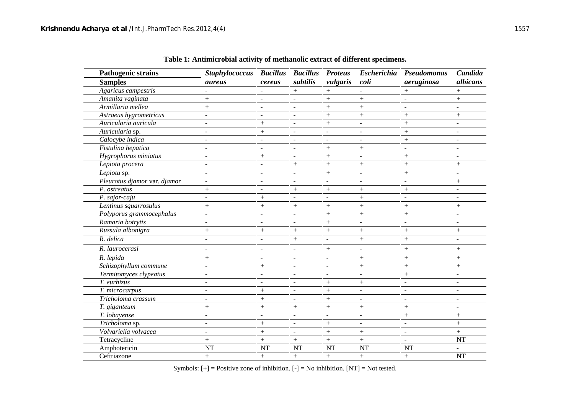| <b>Pathogenic strains</b>    | <b>Staphylococcus</b>    | <b>Bacillus</b>          | <b>Bacillus</b>          | <b>Proteus</b>           | <b>Escherichia</b>       | Pseudomonas              | Candida                  |
|------------------------------|--------------------------|--------------------------|--------------------------|--------------------------|--------------------------|--------------------------|--------------------------|
| <b>Samples</b>               | <i>aureus</i>            | cereus                   | subtilis                 | vulgaris                 | coli                     | aeruginosa               | albicans                 |
| Agaricus campestris          |                          |                          | $^{+}$                   | $+$                      |                          | $^{+}$                   | $^{+}$                   |
| Amanita vaginata             | $+$                      | ٠                        | $\overline{\phantom{a}}$ | $^{+}$                   | $^{+}$                   |                          | $^{+}$                   |
| Armillaria mellea            | $+$                      | $\overline{a}$           | ٠                        | $^{+}$                   | $+$                      | ۰                        |                          |
| Astraeus hygrometricus       | $\sim$                   | $\blacksquare$           | ٠                        | $^{+}$                   | $^{+}$                   |                          | $^{+}$                   |
| Auricularia auricula         |                          | $+$                      | $\overline{\phantom{a}}$ | $+$                      |                          | $^{+}$                   | $\overline{a}$           |
| Auricularia sp.              | $\sim$                   | $^{+}$                   | $\overline{\phantom{a}}$ | $\overline{\phantom{a}}$ | $\blacksquare$           | $+$                      | $\overline{\phantom{a}}$ |
| Calocybe indica              | $\overline{\phantom{a}}$ | $\overline{\phantom{a}}$ | $\blacksquare$           | $\overline{\phantom{0}}$ | $\overline{\phantom{a}}$ | $\boldsymbol{+}$         | $\overline{\phantom{0}}$ |
| Fistulina hepatica           | $\overline{\phantom{a}}$ | $\blacksquare$           | $\overline{\phantom{a}}$ | $+$                      | $^{+}$                   | $\overline{\phantom{a}}$ | $\overline{\phantom{a}}$ |
| Hygrophorus miniatus         | $\sim$                   | $^{+}$                   | $\blacksquare$           | $+$                      | $\overline{\phantom{a}}$ | $^{+}$                   | $\overline{a}$           |
| Lepiota procera              |                          |                          | $^{+}$                   | $+$                      | $^{+}$                   | $^{+}$                   | $^{+}$                   |
| Lepiota sp.                  |                          | $\blacksquare$           | $\overline{\phantom{a}}$ | $+$                      | $\overline{\phantom{a}}$ | $^{+}$                   |                          |
| Pleurotus djamor var. djamor | $\sim$                   | $\sim$                   | $\sim$                   | ÷                        | $\sim$                   | ÷.                       | $^{+}$                   |
| P. ostreatus                 | $+$                      | $\overline{\phantom{a}}$ | $+$                      | $+$                      | $^{+}$                   | $+$                      | $\overline{a}$           |
| P. sajor-caju                |                          | $^{+}$                   | ٠                        |                          | $^{+}$                   | ÷.                       | $\blacksquare$           |
| Lentinus squarrosulus        | $+$                      | $^{+}$                   | $+$                      | $^{+}$                   | $^{+}$                   | $^{+}$                   | $^{+}$                   |
| Polyporus grammocephalus     | $\ddot{\phantom{1}}$     | $\blacksquare$           | $\blacksquare$           | $+$                      | $+$                      | $^{+}$                   | $\overline{a}$           |
| Ramaria botrytis             | $\overline{\phantom{a}}$ | $\overline{\phantom{a}}$ | $\blacksquare$           | $+$                      | $\sim$                   | ۰                        | $\overline{\phantom{a}}$ |
| Russula albonigra            | $+$                      | $+$                      | $^{+}$                   | $+$                      | $^{+}$                   | $^{+}$                   | $^{+}$                   |
| R. delica                    |                          | $\overline{a}$           | $+$                      | $\overline{a}$           | $+$                      | $+$                      |                          |
| R. laurocerasi               | $\blacksquare$           | $\blacksquare$           | $\overline{\phantom{a}}$ | $+$                      | $\blacksquare$           | $+$                      | $^{+}$                   |
| R. lepida                    | $+$                      |                          | $\overline{a}$           | $\overline{a}$           | $^{+}$                   | $^{+}$                   | $^{+}$                   |
| Schizophyllum commune        | $\blacksquare$           |                          | $\overline{\phantom{a}}$ | $\overline{\phantom{0}}$ |                          | $^{+}$                   |                          |
| Termitomyces clypeatus       | $\blacksquare$           | $\blacksquare$           | $\blacksquare$           | $\overline{\phantom{a}}$ | $\blacksquare$           | $+$                      | $\overline{\phantom{a}}$ |
| T. eurhizus                  |                          |                          | $\blacksquare$           | $^{+}$                   |                          | $\overline{\phantom{a}}$ |                          |
| T. microcarpus               |                          | $+$                      | $\overline{\phantom{a}}$ | $+$                      |                          | ÷                        |                          |
| Tricholoma crassum           | $\sim$                   | $+$                      | ÷,                       | $+$                      | $\sim$                   | $\sim$                   | $\overline{a}$           |
| T. giganteum                 | $+$                      | $\! + \!\!\!\!$          | $\! +$                   | $^{+}$                   |                          |                          | $\overline{a}$           |
| T. lobayense                 | $\sim$                   | $\overline{\phantom{a}}$ | $\overline{a}$           | $\blacksquare$           | $\sim$                   | $^{+}$                   | $+$                      |
| Tricholoma sp.               |                          | $^{+}$                   | $\overline{a}$           | $^{+}$                   | $\sim$                   | L.                       | $+$                      |
| Volvariella volvacea         |                          | $+$                      | $\blacksquare$           | $+$                      | $^{+}$                   | $\overline{\phantom{a}}$ | $+$                      |
| Tetracycline                 | $+$                      | $\! + \!$                | $\boldsymbol{+}$         | $+$                      | $^{+}$                   |                          | <b>NT</b>                |
| Amphotericin                 | <b>NT</b>                | <b>NT</b>                | <b>NT</b>                | NT                       | <b>NT</b>                | <b>NT</b>                |                          |
| Ceftriazone                  | $^{+}$                   | $+$                      | $+$                      | $+$                      | $+$                      | $+$                      | <b>NT</b>                |

**Table 1: Antimicrobial activity of methanolic extract of different specimens.**

Symbols:  $[+]$  = Positive zone of inhibition.  $[-]$  = No inhibition.  $[NT]$  = Not tested.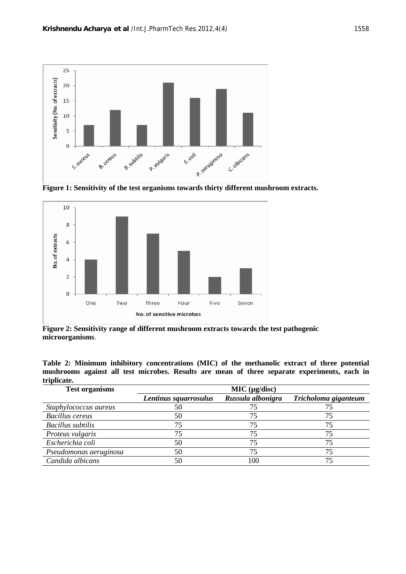

**Figure 1: Sensitivity of the test organisms towards thirty different mushroom extracts.**



**Figure 2: Sensitivity range of different mushroom extracts towards the test pathogenic microorganisms**.

**Table 2: Minimum inhibitory concentrations (MIC) of the methanolic extract of three potential mushrooms against all test microbes. Results are mean of three separate experiments, each in triplicate.**

| <b>Test organisms</b>    | MIC (µg/disc)         |                   |                      |  |  |  |
|--------------------------|-----------------------|-------------------|----------------------|--|--|--|
|                          | Lentinus squarrosulus | Russula albonigra | Tricholoma giganteum |  |  |  |
| Staphylococcus aureus    | 50                    |                   |                      |  |  |  |
| <b>Bacillus</b> cereus   | 50                    | 75                |                      |  |  |  |
| <b>Bacillus</b> subtilis | 75                    | 75                |                      |  |  |  |
| Proteus vulgaris         |                       | 75                |                      |  |  |  |
| Escherichia coli         | 50                    |                   |                      |  |  |  |
| Pseudomonas aeruginosa   | 50                    |                   |                      |  |  |  |
| Candida albicans         | 50                    | 100               |                      |  |  |  |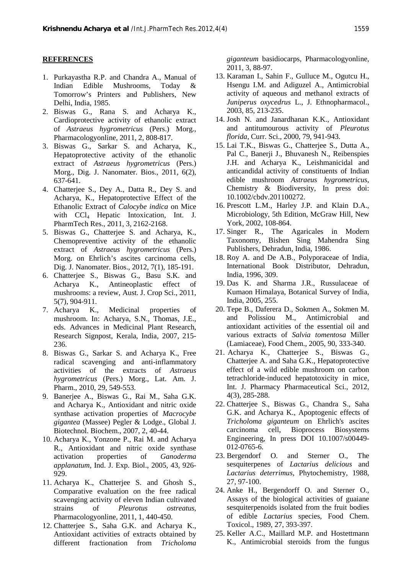#### **REFERENCES**

- 1. Purkayastha R.P. and Chandra A., Manual of Indian Edible Mushrooms, Today & Tomorrow's Printers and Publishers, New Delhi, India, 1985.
- 2. Biswas G., Rana S. and Acharya K., Cardioprotective activity of ethanolic extract of *Astraeus hygrometricus* (Pers.) Morg., Pharmacologyonline, 2011, 2, 808-817.
- 3. Biswas G., Sarkar S. and Acharya, K., Hepatoprotective activity of the ethanolic extract of *Astraeus hygrometricus* (Pers.) Morg., Dig. J. Nanomater. Bios., 2011, 6(2), 637-641.
- 4. Chatterjee S., Dey A., Datta R., Dey S. and Acharya, K., Hepatoprotective Effect of the Ethanolic Extract of *Calocybe indica* on Mice with CCl<sub>4</sub> Hepatic Intoxication, Int. J. PharmTech Res., 2011, 3, 2162-2168.
- 5. Biswas G., Chatterjee S. and Acharya, K., Chemopreventive activity of the ethanolic extract of *Astraeus hygrometricus* (Pers.) Morg. on Ehrlich's ascites carcinoma cells, Dig. J. Nanomater. Bios., 2012, 7(1), 185-191.
- 6. Chatterjee S., Biswas G., Basu S.K. and Acharya K., Antineoplastic effect of mushrooms: a review, Aust. J. Crop Sci., 2011, 5(7), 904-911.
- 7. Acharya K., Medicinal properties of mushroom. In: Acharya, S.N., Thomas, J.E., eds. Advances in Medicinal Plant Research, Research Signpost, Kerala, India, 2007, 215- 236.
- 8. Biswas G., Sarkar S. and Acharya K., Free radical scavenging and anti-inflammatory activities of the extracts of *Astraeus hygrometricus* (Pers.) Morg., Lat. Am. J. Pharm., 2010, 29, 549-553.
- 9. Banerjee A., Biswas G., Rai M., Saha G.K. and Acharya K., Antioxidant and nitric oxide synthase activation properties of *Macrocybe gigantea* (Massee) Pegler & Lodge., Global J. Biotechnol. Biochem., 2007, 2, 40-44.
- 10. Acharya K., Yonzone P., Rai M. and Acharya R., Antioxidant and nitric oxide synthase activation properties of *Ganoderma applanatum*, Ind. J. Exp. Biol., 2005, 43, 926- 929.
- 11. Acharya K., Chatterjee S. and Ghosh S., Comparative evaluation on the free radical scavenging activity of eleven Indian cultivated strains of *Pleurotus ostreatus*, Pharmacologyonline, 2011, 1, 440-450.
- 12. Chatterjee S., Saha G.K. and Acharya K., Antioxidant activities of extracts obtained by different fractionation from *Tricholoma*

*giganteum* basidiocarps, Pharmacologyonline, 2011, 3, 88-97.

- 13. Karaman I., Sahin F., Gulluce M., Ogutcu H., Hsengu I.M. and Adiguzel A., Antimicrobial activity of aqueous and methanol extracts of *Juniperus oxycedrus* L., J. Ethnopharmacol., 2003, 85, 213-235.
- 14. Josh N. and Janardhanan K.K., Antioxidant and antitumourous activity of *Pleurotus florida*, Curr. Sci., 2000, 79, 941-943.
- 15. Lai T.K., Biswas G., Chatterjee S., Dutta A., Pal C., Banerji J., Bhuvanesh N., Reibenspies J.H. and Acharya K., Leishmanicidal and anticandidal activity of constituents of Indian edible mushroom *Astraeus hygrometricus*, Chemistry & Biodiversity, In press doi: 10.1002/cbdv.201100272.
- 16. Prescott L.M., Harley J.P. and Klain D.A., Microbiology, 5th Edition, McGraw Hill, New York, 2002, 108-864.
- 17. Singer R., The Agaricales in Modern Taxonomy, Bishen Sing Mahendra Sing Publishers, Dehradun, India, 1986.
- 18. Roy A. and De A.B., Polyporaceae of India, International Book Distributor, Dehradun, India, 1996, 309.
- 19. Das K. and Sharma J.R., Russulaceae of Kumaon Himalaya, Botanical Survey of India, India, 2005, 255.
- 20. Tepe B., Daferera D., Sokmen A., Sokmen M. and Polissiou M., Antimicrobial and antioxidant activities of the essential oil and various extracts of *Salvia tomentosa* Miller (Lamiaceae), Food Chem., 2005, 90, 333-340.
- 21. Acharya K., Chatterjee S., Biswas G., Chatterjee A. and Saha G.K., Hepatoprotective effect of a wild edible mushroom on carbon tetrachloride-induced hepatotoxicity in mice, Int. J. Pharmacy Pharmaceutical Sci., 2012, 4(3), 285-288.
- 22. Chatterjee S., Biswas G., Chandra S., Saha G.K. and Acharya K., Apoptogenic effects of *Tricholoma giganteum* on Ehrlich's ascites carcinoma cell, Bioprocess Biosystems Engineering, In press DOI 10.1007/s00449- 012-0765-6.
- 23. Bergendorf O. and Sterner O., The sesquiterpenes of *Lactarius delicious* and *Lactarius deterrimus*, Phytochemistry, 1988, 27, 97-100.
- 24. Anke H., Bergendorff O. and Sterner O., Assays of the biological activities of guaiane sesquiterpenoids isolated from the fruit bodies of edible *Lactarius* species, Food Chem. Toxicol., 1989, 27, 393-397.
- 25. Keller A.C., Maillard M.P. and Hostettmann K., Antimicrobial steroids from the fungus